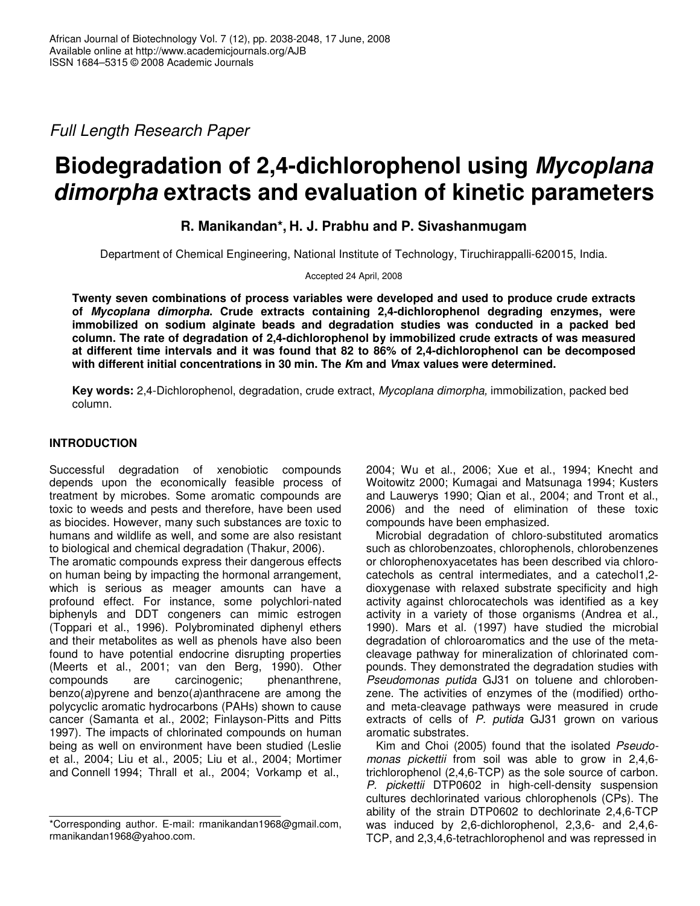*Full Length Research Paper*

# **Biodegradation of 2,4-dichlorophenol using** *Mycoplana dimorpha* **extracts and evaluation of kinetic parameters**

## **R. Manikandan\*, H. J. Prabhu and P. Sivashanmugam**

Department of Chemical Engineering, National Institute of Technology, Tiruchirappalli-620015, India.

Accepted 24 April, 2008

**Twenty seven combinations of process variables were developed and used to produce crude extracts of** *Mycoplana dimorpha***. Crude extracts containing 2,4-dichlorophenol degrading enzymes, were immobilized on sodium alginate beads and degradation studies was conducted in a packed bed column. The rate of degradation of 2,4-dichlorophenol by immobilized crude extracts of was measured at different time intervals and it was found that 82 to 86% of 2,4-dichlorophenol can be decomposed with different initial concentrations in 30 min. The** *K***m and** *V***max values were determined.**

**Key words:** 2,4-Dichlorophenol, degradation, crude extract, *Mycoplana dimorpha,* immobilization, packed bed column.

## **INTRODUCTION**

Successful degradation of xenobiotic compounds depends upon the economically feasible process of treatment by microbes. Some aromatic compounds are toxic to weeds and pests and therefore, have been used as biocides. However, many such substances are toxic to humans and wildlife as well, and some are also resistant to biological and chemical degradation (Thakur, 2006).

The aromatic compounds express their dangerous effects on human being by impacting the hormonal arrangement, which is serious as meager amounts can have a profound effect. For instance, some polychlori-nated biphenyls and DDT congeners can mimic estrogen (Toppari et al., 1996). Polybrominated diphenyl ethers and their metabolites as well as phenols have also been found to have potential endocrine disrupting properties (Meerts et al., 2001; van den Berg, 1990). Other compounds are carcinogenic; phenanthrene, benzo(*a*)pyrene and benzo(*a*)anthracene are among the polycyclic aromatic hydrocarbons (PAHs) shown to cause cancer (Samanta et al., 2002; Finlayson-Pitts and Pitts 1997). The impacts of chlorinated compounds on human being as well on environment have been studied (Leslie et al., 2004; Liu et al., 2005; Liu et al., 2004; Mortimer and Connell 1994; Thrall et al., 2004; Vorkamp et al.,

2004; Wu et al., 2006; Xue et al., 1994; Knecht and Woitowitz 2000; Kumagai and Matsunaga 1994; Kusters and Lauwerys 1990; Qian et al., 2004; and Tront et al., 2006) and the need of elimination of these toxic compounds have been emphasized.

Microbial degradation of chloro-substituted aromatics such as chlorobenzoates, chlorophenols, chlorobenzenes or chlorophenoxyacetates has been described via chlorocatechols as central intermediates, and a catechol1,2 dioxygenase with relaxed substrate specificity and high activity against chlorocatechols was identified as a key activity in a variety of those organisms (Andrea et al*.,* 1990). Mars et al*.* (1997) have studied the microbial degradation of chloroaromatics and the use of the metacleavage pathway for mineralization of chlorinated compounds. They demonstrated the degradation studies with *Pseudomonas putida* GJ31 on toluene and chlorobenzene. The activities of enzymes of the (modified) orthoand meta-cleavage pathways were measured in crude extracts of cells of *P. putida* GJ31 grown on various aromatic substrates.

Kim and Choi (2005) found that the isolated *Pseudomonas pickettii* from soil was able to grow in 2,4,6 trichlorophenol (2,4,6-TCP) as the sole source of carbon. *P. pickettii* DTP0602 in high-cell-density suspension cultures dechlorinated various chlorophenols (CPs). The ability of the strain DTP0602 to dechlorinate 2,4,6-TCP was induced by 2,6-dichlorophenol, 2,3,6- and 2,4,6- TCP, and 2,3,4,6-tetrachlorophenol and was repressed in

<sup>\*</sup>Corresponding author. E-mail: rmanikandan1968@gmail.com, rmanikandan1968@yahoo.com.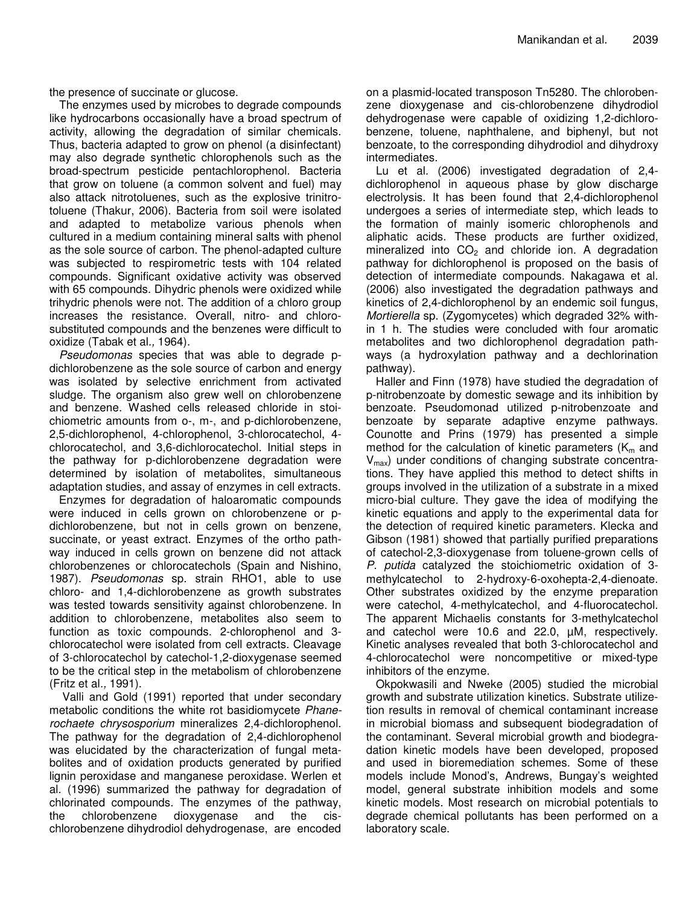the presence of succinate or glucose.

The enzymes used by microbes to degrade compounds like hydrocarbons occasionally have a broad spectrum of activity, allowing the degradation of similar chemicals. Thus, bacteria adapted to grow on phenol (a disinfectant) may also degrade synthetic chlorophenols such as the broad-spectrum pesticide pentachlorophenol. Bacteria that grow on toluene (a common solvent and fuel) may also attack nitrotoluenes, such as the explosive trinitrotoluene (Thakur, 2006). Bacteria from soil were isolated and adapted to metabolize various phenols when cultured in a medium containing mineral salts with phenol as the sole source of carbon. The phenol-adapted culture was subjected to respirometric tests with 104 related compounds. Significant oxidative activity was observed with 65 compounds. Dihydric phenols were oxidized while trihydric phenols were not. The addition of a chloro group increases the resistance. Overall, nitro- and chlorosubstituted compounds and the benzenes were difficult to oxidize (Tabak et al*.,* 1964).

*Pseudomonas* species that was able to degrade pdichlorobenzene as the sole source of carbon and energy was isolated by selective enrichment from activated sludge. The organism also grew well on chlorobenzene and benzene. Washed cells released chloride in stoichiometric amounts from o-, m-, and p-dichlorobenzene, 2,5-dichlorophenol, 4-chlorophenol, 3-chlorocatechol, 4 chlorocatechol, and 3,6-dichlorocatechol. Initial steps in the pathway for p-dichlorobenzene degradation were determined by isolation of metabolites, simultaneous adaptation studies, and assay of enzymes in cell extracts.

Enzymes for degradation of haloaromatic compounds were induced in cells grown on chlorobenzene or pdichlorobenzene, but not in cells grown on benzene, succinate, or yeast extract. Enzymes of the ortho pathway induced in cells grown on benzene did not attack chlorobenzenes or chlorocatechols (Spain and Nishino, 1987). *Pseudomonas* sp. strain RHO1, able to use chloro- and 1,4-dichlorobenzene as growth substrates was tested towards sensitivity against chlorobenzene. In addition to chlorobenzene, metabolites also seem to function as toxic compounds. 2-chlorophenol and 3 chlorocatechol were isolated from cell extracts. Cleavage of 3-chlorocatechol by catechol-1,2-dioxygenase seemed to be the critical step in the metabolism of chlorobenzene (Fritz et al*.,* 1991).

Valli and Gold (1991) reported that under secondary metabolic conditions the white rot basidiomycete *Phanerochaete chrysosporium* mineralizes 2,4-dichlorophenol. The pathway for the degradation of 2,4-dichlorophenol was elucidated by the characterization of fungal metabolites and of oxidation products generated by purified lignin peroxidase and manganese peroxidase. Werlen et al*.* (1996) summarized the pathway for degradation of chlorinated compounds. The enzymes of the pathway, the chlorobenzene dioxygenase and the cischlorobenzene dihydrodiol dehydrogenase, are encoded on a plasmid-located transposon Tn5280. The chlorobenzene dioxygenase and cis-chlorobenzene dihydrodiol dehydrogenase were capable of oxidizing 1,2-dichlorobenzene, toluene, naphthalene, and biphenyl, but not benzoate, to the corresponding dihydrodiol and dihydroxy intermediates.

Lu et al*.* (2006) investigated degradation of 2,4 dichlorophenol in aqueous phase by glow discharge electrolysis. It has been found that 2,4-dichlorophenol undergoes a series of intermediate step, which leads to the formation of mainly isomeric chlorophenols and aliphatic acids. These products are further oxidized, mineralized into  $CO<sub>2</sub>$  and chloride ion. A degradation pathway for dichlorophenol is proposed on the basis of detection of intermediate compounds. Nakagawa et al*.* (2006) also investigated the degradation pathways and kinetics of 2,4-dichlorophenol by an endemic soil fungus, *Mortierella* sp. (Zygomycetes) which degraded 32% within 1 h. The studies were concluded with four aromatic metabolites and two dichlorophenol degradation pathways (a hydroxylation pathway and a dechlorination pathway).

Haller and Finn (1978) have studied the degradation of p-nitrobenzoate by domestic sewage and its inhibition by benzoate. Pseudomonad utilized p-nitrobenzoate and benzoate by separate adaptive enzyme pathways. Counotte and Prins (1979) has presented a simple method for the calculation of kinetic parameters ( $K_m$  and  $V_{\text{max}}$ ) under conditions of changing substrate concentrations. They have applied this method to detect shifts in groups involved in the utilization of a substrate in a mixed micro-bial culture. They gave the idea of modifying the kinetic equations and apply to the experimental data for the detection of required kinetic parameters. Klecka and Gibson (1981) showed that partially purified preparations of catechol-2,3-dioxygenase from toluene-grown cells of *P. putida* catalyzed the stoichiometric oxidation of 3 methylcatechol to 2-hydroxy-6-oxohepta-2,4-dienoate. Other substrates oxidized by the enzyme preparation were catechol, 4-methylcatechol, and 4-fluorocatechol. The apparent Michaelis constants for 3-methylcatechol and catechol were 10.6 and 22.0, µM, respectively. Kinetic analyses revealed that both 3-chlorocatechol and 4-chlorocatechol were noncompetitive or mixed-type inhibitors of the enzyme.

Okpokwasili and Nweke (2005) studied the microbial growth and substrate utilization kinetics. Substrate utilizetion results in removal of chemical contaminant increase in microbial biomass and subsequent biodegradation of the contaminant. Several microbial growth and biodegradation kinetic models have been developed, proposed and used in bioremediation schemes. Some of these models include Monod's, Andrews, Bungay's weighted model, general substrate inhibition models and some kinetic models. Most research on microbial potentials to degrade chemical pollutants has been performed on a laboratory scale.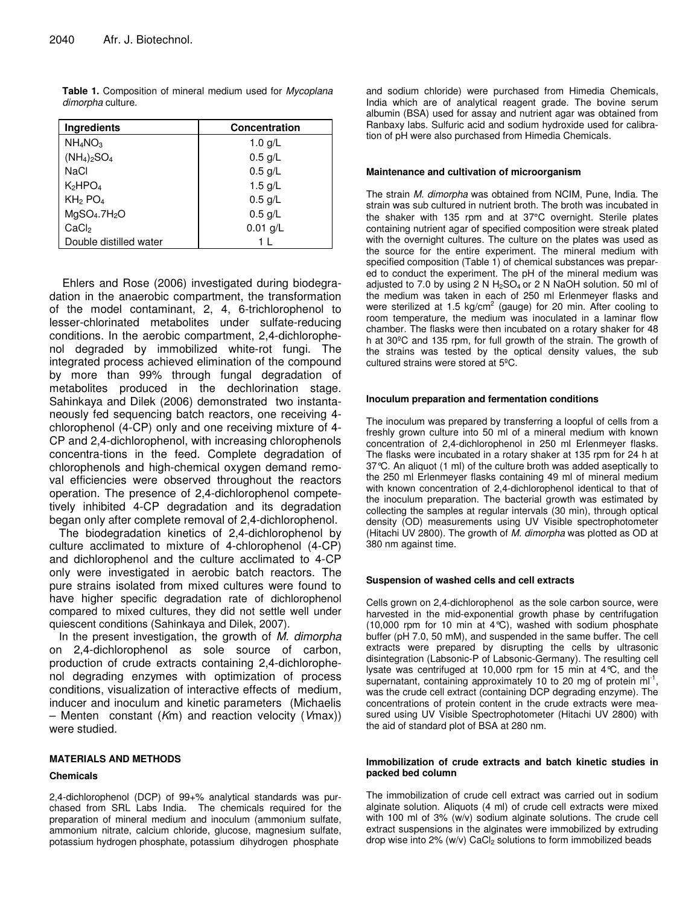| Ingredients                          | <b>Concentration</b> |  |  |
|--------------------------------------|----------------------|--|--|
| $NH_4NO_3$                           | 1.0 $q/L$            |  |  |
| $(NH_4)_2SO_4$                       | $0.5$ g/L            |  |  |
| NaCl                                 | $0.5$ g/L            |  |  |
| $K_2HPO_4$                           | 1.5 $g/L$            |  |  |
| KH <sub>2</sub> PO <sub>4</sub>      | $0.5$ g/L            |  |  |
| MgSO <sub>4</sub> .7H <sub>2</sub> O | $0.5$ g/L            |  |  |
| CaCl <sub>2</sub>                    | $0.01$ g/L           |  |  |
| Double distilled water               |                      |  |  |

**Table 1.** Composition of mineral medium used for *Mycoplana dimorpha* culture.

Ehlers and Rose (2006) investigated during biodegradation in the anaerobic compartment, the transformation of the model contaminant, 2, 4, 6-trichlorophenol to lesser-chlorinated metabolites under sulfate-reducing conditions. In the aerobic compartment, 2,4-dichlorophenol degraded by immobilized white-rot fungi. The integrated process achieved elimination of the compound by more than 99% through fungal degradation of metabolites produced in the dechlorination stage. Sahinkaya and Dilek (2006) demonstrated two instantaneously fed sequencing batch reactors, one receiving 4 chlorophenol (4-CP) only and one receiving mixture of 4- CP and 2,4-dichlorophenol, with increasing chlorophenols concentra-tions in the feed. Complete degradation of chlorophenols and high-chemical oxygen demand removal efficiencies were observed throughout the reactors operation. The presence of 2,4-dichlorophenol competetively inhibited 4-CP degradation and its degradation began only after complete removal of 2,4-dichlorophenol.

The biodegradation kinetics of 2,4-dichlorophenol by culture acclimated to mixture of 4-chlorophenol (4-CP) and dichlorophenol and the culture acclimated to 4-CP only were investigated in aerobic batch reactors. The pure strains isolated from mixed cultures were found to have higher specific degradation rate of dichlorophenol compared to mixed cultures, they did not settle well under quiescent conditions (Sahinkaya and Dilek, 2007).

In the present investigation, the growth of *M. dimorpha* on 2,4-dichlorophenol as sole source of carbon, production of crude extracts containing 2,4-dichlorophenol degrading enzymes with optimization of process conditions, visualization of interactive effects of medium, inducer and inoculum and kinetic parameters (Michaelis – Menten constant (*K*m) and reaction velocity (*V*max)) were studied.

#### **MATERIALS AND METHODS**

#### **Chemicals**

2,4-dichlorophenol (DCP) of 99+% analytical standards was purchased from SRL Labs India. The chemicals required for the preparation of mineral medium and inoculum (ammonium sulfate, ammonium nitrate, calcium chloride, glucose, magnesium sulfate, potassium hydrogen phosphate, potassium dihydrogen phosphate

and sodium chloride) were purchased from Himedia Chemicals, India which are of analytical reagent grade. The bovine serum albumin (BSA) used for assay and nutrient agar was obtained from Ranbaxy labs. Sulfuric acid and sodium hydroxide used for calibration of pH were also purchased from Himedia Chemicals.

#### **Maintenance and cultivation of microorganism**

The strain *M. dimorpha* was obtained from NCIM, Pune, India. The strain was sub cultured in nutrient broth. The broth was incubated in the shaker with 135 rpm and at 37°C overnight. Sterile plates containing nutrient agar of specified composition were streak plated with the overnight cultures. The culture on the plates was used as the source for the entire experiment. The mineral medium with specified composition (Table 1) of chemical substances was prepared to conduct the experiment. The pH of the mineral medium was adjusted to 7.0 by using 2 N  $H<sub>2</sub>SO<sub>4</sub>$  or 2 N NaOH solution. 50 ml of the medium was taken in each of 250 ml Erlenmeyer flasks and were sterilized at 1.5 kg/cm<sup>2</sup> (gauge) for 20 min. After cooling to room temperature, the medium was inoculated in a laminar flow chamber. The flasks were then incubated on a rotary shaker for 48 h at 30ºC and 135 rpm, for full growth of the strain. The growth of the strains was tested by the optical density values, the sub cultured strains were stored at 5ºC.

#### **Inoculum preparation and fermentation conditions**

The inoculum was prepared by transferring a loopful of cells from a freshly grown culture into 50 ml of a mineral medium with known concentration of 2,4-dichlorophenol in 250 ml Erlenmeyer flasks. The flasks were incubated in a rotary shaker at 135 rpm for 24 h at 37°C. An aliquot (1 ml) of the culture broth was added aseptically to the 250 ml Erlenmeyer flasks containing 49 ml of mineral medium with known concentration of 2,4-dichlorophenol identical to that of the inoculum preparation. The bacterial growth was estimated by collecting the samples at regular intervals (30 min), through optical density (OD) measurements using UV Visible spectrophotometer (Hitachi UV 2800). The growth of *M. dimorpha* was plotted as OD at 380 nm against time.

#### **Suspension of washed cells and cell extracts**

Cells grown on 2,4-dichlorophenol as the sole carbon source, were harvested in the mid-exponential growth phase by centrifugation (10,000 rpm for 10 min at  $4^{\circ}$ C), washed with sodium phosphate buffer (pH 7.0, 50 mM), and suspended in the same buffer. The cell extracts were prepared by disrupting the cells by ultrasonic disintegration (Labsonic-P of Labsonic-Germany). The resulting cell lysate was centrifuged at 10,000 rpm for 15 min at 4°C, and the supernatant, containing approximately 10 to 20 mg of protein  $ml^{-1}$ , was the crude cell extract (containing DCP degrading enzyme). The concentrations of protein content in the crude extracts were measured using UV Visible Spectrophotometer (Hitachi UV 2800) with the aid of standard plot of BSA at 280 nm.

#### **Immobilization of crude extracts and batch kinetic studies in packed bed column**

The immobilization of crude cell extract was carried out in sodium alginate solution. Aliquots (4 ml) of crude cell extracts were mixed with 100 ml of 3% (w/v) sodium alginate solutions. The crude cell extract suspensions in the alginates were immobilized by extruding drop wise into  $2\%$  (w/v) CaCl<sub>2</sub> solutions to form immobilized beads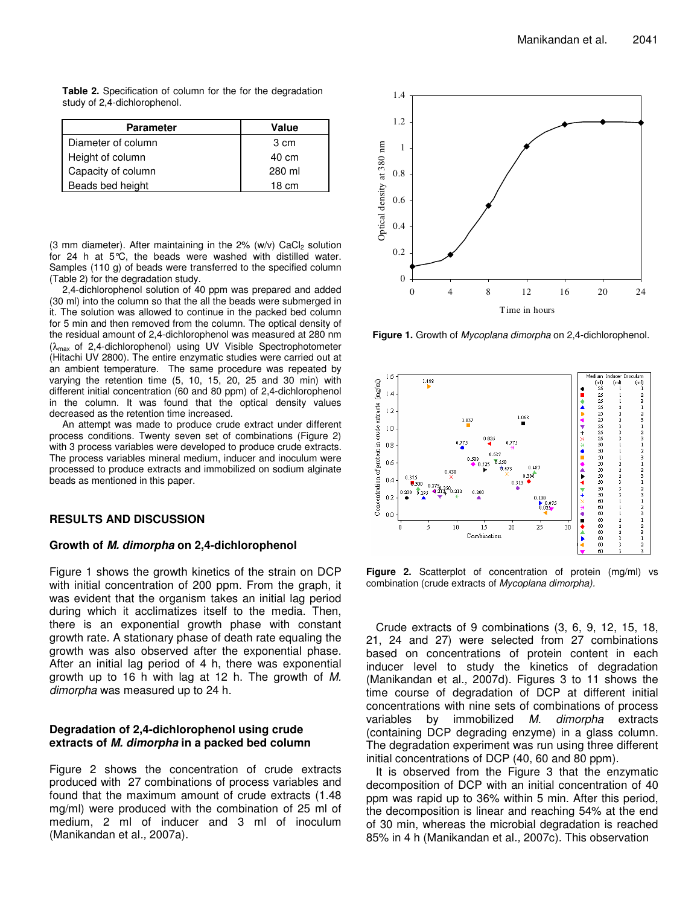**Table 2.** Specification of column for the for the degradation study of 2,4-dichlorophenol.

| <b>Parameter</b>   | Value           |
|--------------------|-----------------|
| Diameter of column | 3 cm            |
| Height of column   | 40 cm           |
| Capacity of column | 280 ml          |
| Beads bed height   | $18 \text{ cm}$ |

(3 mm diameter). After maintaining in the  $2\%$  (w/v) CaCl<sub>2</sub> solution for 24 h at 5°C, the beads were washed with distilled water. Samples (110 g) of beads were transferred to the specified column (Table 2) for the degradation study.

2,4-dichlorophenol solution of 40 ppm was prepared and added (30 ml) into the column so that the all the beads were submerged in it. The solution was allowed to continue in the packed bed column for 5 min and then removed from the column. The optical density of the residual amount of 2,4-dichlorophenol was measured at 280 nm (λmax of 2,4-dichlorophenol) using UV Visible Spectrophotometer (Hitachi UV 2800). The entire enzymatic studies were carried out at an ambient temperature. The same procedure was repeated by varying the retention time (5, 10, 15, 20, 25 and 30 min) with different initial concentration (60 and 80 ppm) of 2,4-dichlorophenol in the column. It was found that the optical density values decreased as the retention time increased.

An attempt was made to produce crude extract under different process conditions. Twenty seven set of combinations (Figure 2) with 3 process variables were developed to produce crude extracts. The process variables mineral medium, inducer and inoculum were processed to produce extracts and immobilized on sodium alginate beads as mentioned in this paper.

#### **RESULTS AND DISCUSSION**

#### **Growth of** *M. dimorpha* **on 2,4-dichlorophenol**

Figure 1 shows the growth kinetics of the strain on DCP with initial concentration of 200 ppm. From the graph, it was evident that the organism takes an initial lag period during which it acclimatizes itself to the media. Then, there is an exponential growth phase with constant growth rate. A stationary phase of death rate equaling the growth was also observed after the exponential phase. After an initial lag period of 4 h, there was exponential growth up to 16 h with lag at 12 h. The growth of *M. dimorpha* was measured up to 24 h.

### **Degradation of 2,4-dichlorophenol using crude extracts of** *M. dimorpha* **in a packed bed column**

Figure 2 shows the concentration of crude extracts produced with 27 combinations of process variables and found that the maximum amount of crude extracts (1.48 mg/ml) were produced with the combination of 25 ml of medium, 2 ml of inducer and 3 ml of inoculum (Manikandan et al*.,* 2007a).



**Figure 1.** Growth of *Mycoplana dimorpha* on 2,4-dichlorophenol.



**Figure 2.** Scatterplot of concentration of protein (mg/ml) vs combination (crude extracts of *Mycoplana dimorpha).*

Crude extracts of 9 combinations (3, 6, 9, 12, 15, 18, 21, 24 and 27) were selected from 27 combinations based on concentrations of protein content in each inducer level to study the kinetics of degradation (Manikandan et al*.,* 2007d). Figures 3 to 11 shows the time course of degradation of DCP at different initial concentrations with nine sets of combinations of process variables by immobilized *M. dimorpha* extracts (containing DCP degrading enzyme) in a glass column. The degradation experiment was run using three different initial concentrations of DCP (40, 60 and 80 ppm).

It is observed from the Figure 3 that the enzymatic decomposition of DCP with an initial concentration of 40 ppm was rapid up to 36% within 5 min. After this period, the decomposition is linear and reaching 54% at the end of 30 min, whereas the microbial degradation is reached 85% in 4 h (Manikandan et al*.,* 2007c). This observation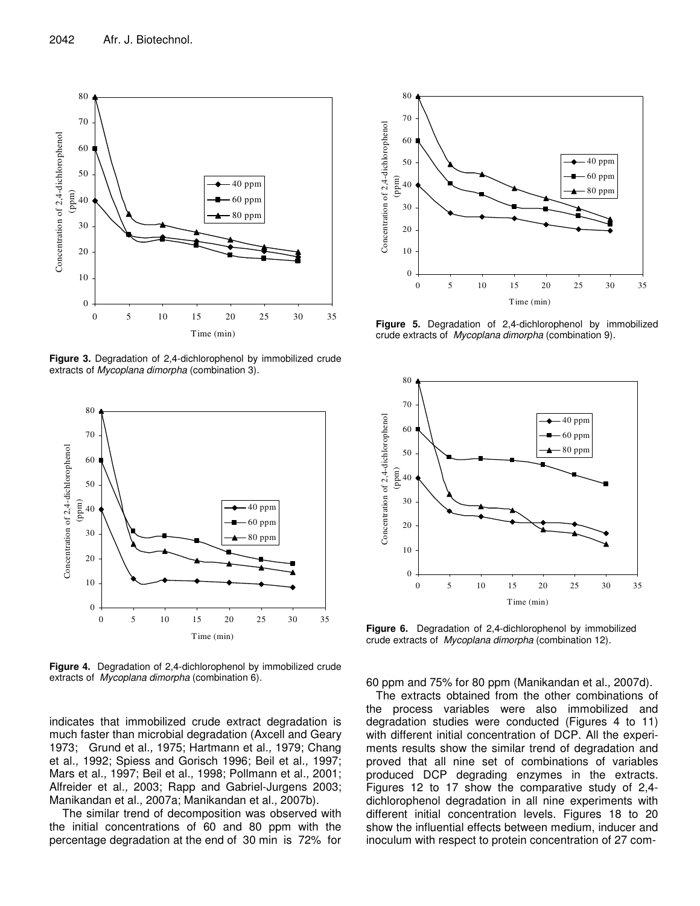

**Figure 3.** Degradation of 2,4-dichlorophenol by immobilized crude extracts of *Mycoplana dimorpha* (combination 3)*.*



**Figure 4.** Degradation of 2,4-dichlorophenol by immobilized crude extracts of *Mycoplana dimorpha* (combination 6)*.*

indicates that immobilized crude extract degradation is much faster than microbial degradation (Axcell and Geary 1973; Grund et al*.,* 1975; Hartmann et al*.,* 1979; Chang et al*.,* 1992; Spiess and Gorisch 1996; Beil et al*.,* 1997; Mars et al*.,* 1997; Beil et al*.,* 1998; Pollmann et al*.,* 2001; Alfreider et al*.,* 2003; Rapp and Gabriel-Jurgens 2003; Manikandan et al*.,* 2007a; Manikandan et al*.,* 2007b).

The similar trend of decomposition was observed with the initial concentrations of 60 and 80 ppm with the percentage degradation at the end of 30 min is 72% for



**Figure 5.** Degradation of 2,4-dichlorophenol by immobilized crude extracts of *Mycoplana dimorpha* (combination 9)*.*



**Figure 6.** Degradation of 2,4-dichlorophenol by immobilized crude extracts of *Mycoplana dimorpha* (combination 12)*.*

60 ppm and 75% for 80 ppm (Manikandan et al*.,* 2007d).

The extracts obtained from the other combinations of the process variables were also immobilized and degradation studies were conducted (Figures 4 to 11) with different initial concentration of DCP. All the experiments results show the similar trend of degradation and proved that all nine set of combinations of variables produced DCP degrading enzymes in the extracts. Figures 12 to 17 show the comparative study of 2,4 dichlorophenol degradation in all nine experiments with different initial concentration levels. Figures 18 to 20 show the influential effects between medium, inducer and inoculum with respect to protein concentration of 27 com-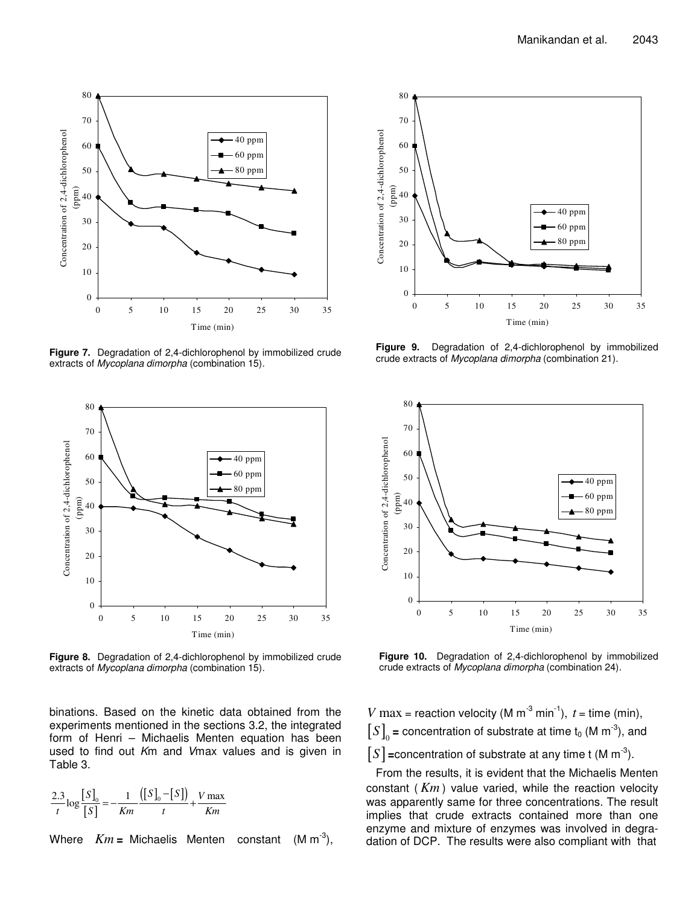

**Figure 7.** Degradation of 2,4-dichlorophenol by immobilized crude extracts of *Mycoplana dimorpha* (combination 15)*.*



**Figure 8.** Degradation of 2,4-dichlorophenol by immobilized crude extracts of *Mycoplana dimorpha* (combination 15)*.*

binations. Based on the kinetic data obtained from the experiments mentioned in the sections 3.2, the integrated form of Henri – Michaelis Menten equation has been used to find out *K*m and *V*max values and is given in Table 3.

$$
\frac{2.3}{t} \log \frac{[S]}{[S]} = -\frac{1}{Km} \frac{([S]_0 - [S])}{t} + \frac{V \max}{Km}
$$

Where  $Km =$  Michaelis Menten constant -3 ),



**Figure 9.** Degradation of 2,4-dichlorophenol by immobilized crude extracts of *Mycoplana dimorpha* (combination 21)*.*



**Figure 10.** Degradation of 2,4-dichlorophenol by immobilized crude extracts of *Mycoplana dimorpha* (combination 24)*.*

*V* max = reaction velocity (M  $m^{-3}$  min<sup>-1</sup>),  $t =$  time (min),  $[S]_0$  = concentration of substrate at time  $t_0$  (M m<sup>-3</sup>), and  $[S]$  =concentration of substrate at any time t (M m<sup>-3</sup>).

From the results, it is evident that the Michaelis Menten constant ( *Km* ) value varied, while the reaction velocity was apparently same for three concentrations. The result implies that crude extracts contained more than one enzyme and mixture of enzymes was involved in degradation of DCP. The results were also compliant with that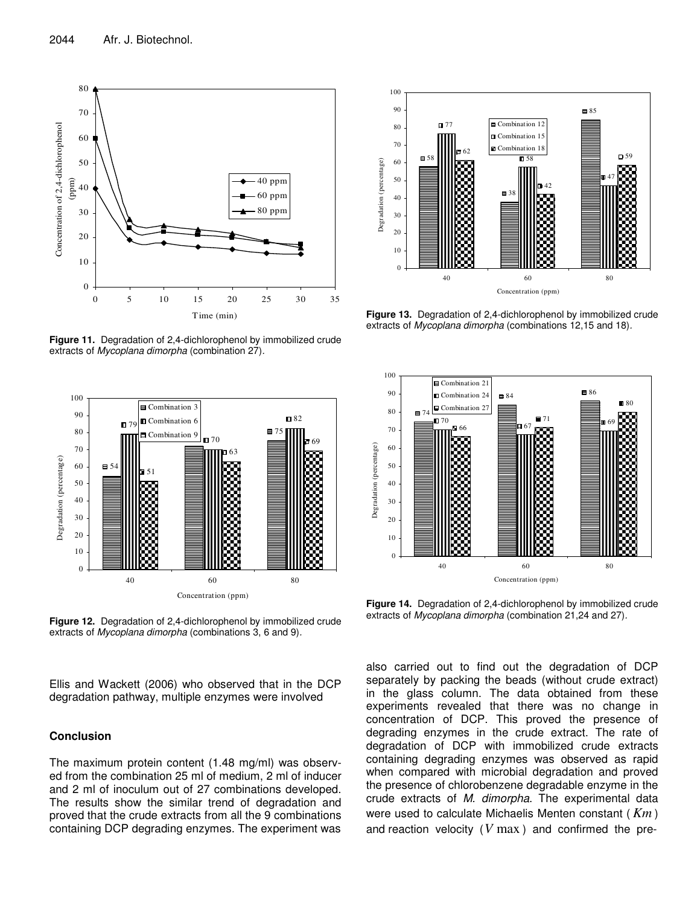

**Figure 11.** Degradation of 2,4-dichlorophenol by immobilized crude extracts of *Mycoplana dimorpha* (combination 27)*.*



**Figure 12.** Degradation of 2,4-dichlorophenol by immobilized crude extracts of *Mycoplana dimorpha* (combinations 3, 6 and 9)*.*

Ellis and Wackett (2006) who observed that in the DCP degradation pathway, multiple enzymes were involved

## **Conclusion**

The maximum protein content (1.48 mg/ml) was observed from the combination 25 ml of medium, 2 ml of inducer and 2 ml of inoculum out of 27 combinations developed. The results show the similar trend of degradation and proved that the crude extracts from all the 9 combinations containing DCP degrading enzymes. The experiment was



**Figure 13.** Degradation of 2,4-dichlorophenol by immobilized crude extracts of *Mycoplana dimorpha* (combinations 12,15 and 18)*.*



**Figure 14.** Degradation of 2,4-dichlorophenol by immobilized crude extracts of *Mycoplana dimorpha* (combination 21,24 and 27)*.*

also carried out to find out the degradation of DCP separately by packing the beads (without crude extract) in the glass column. The data obtained from these experiments revealed that there was no change in concentration of DCP. This proved the presence of degrading enzymes in the crude extract. The rate of degradation of DCP with immobilized crude extracts containing degrading enzymes was observed as rapid when compared with microbial degradation and proved the presence of chlorobenzene degradable enzyme in the crude extracts of *M. dimorpha*. The experimental data were used to calculate Michaelis Menten constant ( *Km* ) and reaction velocity (*V* max ) and confirmed the pre-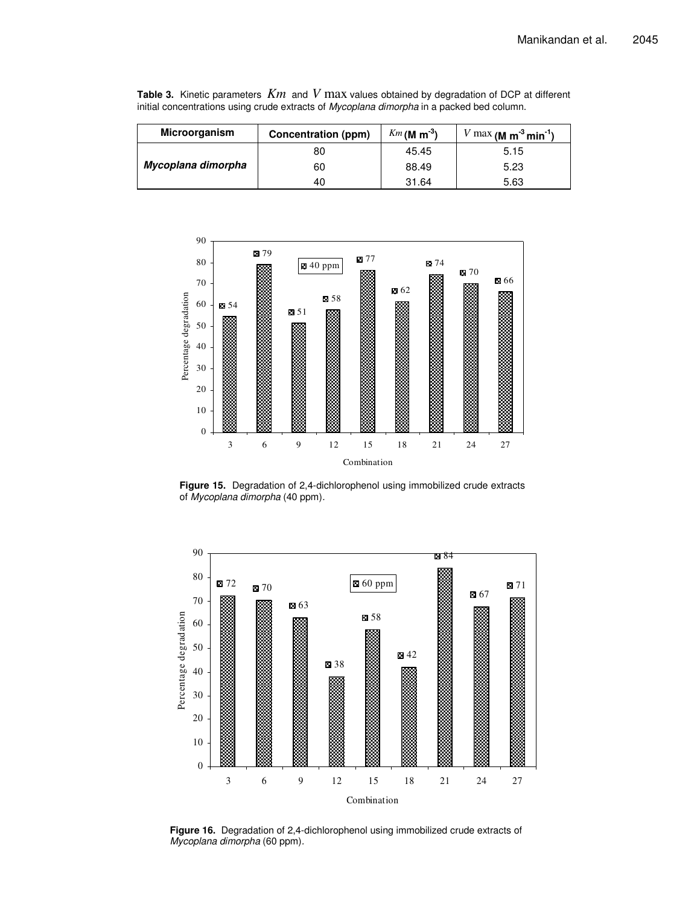| <b>Microorganism</b> | Concentration (ppm) | $Km$ (M m <sup>-3</sup> ) | $V$ max (M m <sup>-3</sup> min <sup>-1</sup> ) |
|----------------------|---------------------|---------------------------|------------------------------------------------|
|                      | 80                  | 45.45                     | 5.15                                           |
| Mycoplana dimorpha   | 60                  | 88.49                     | 5.23                                           |
|                      | 40                  | 31.64                     | 5.63                                           |

**Table 3.** Kinetic parameters *Km* and *V* max values obtained by degradation of DCP at different initial concentrations using crude extracts of *Mycoplana dimorpha* in a packed bed column.



**Figure 15.** Degradation of 2,4-dichlorophenol using immobilized crude extracts of *Mycoplana dimorpha* (40 ppm)*.*



**Figure 16.** Degradation of 2,4-dichlorophenol using immobilized crude extracts of *Mycoplana dimorpha* (60 ppm)*.*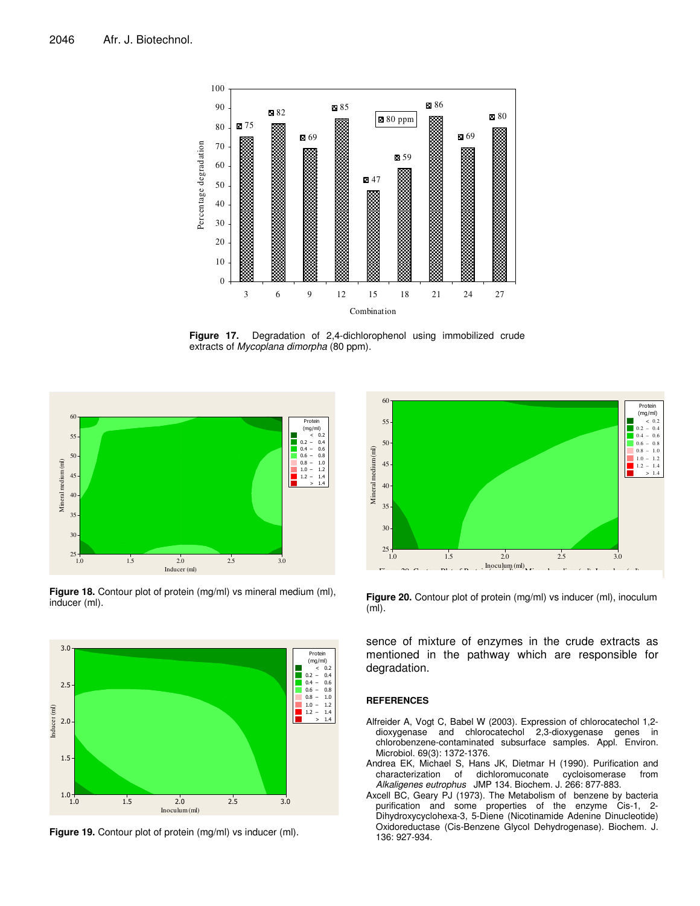

**Figure 17.** Degradation of 2,4-dichlorophenol using immobilized crude extracts of *Mycoplana dimorpha* (80 ppm)*.*



**Figure 18.** Contour plot of protein (mg/ml) vs mineral medium (ml), inducer (ml).



**Figure 19.** Contour plot of protein (mg/ml) vs inducer (ml).



**Figure 20.** Contour plot of protein (mg/ml) vs inducer (ml), inoculum (ml).

sence of mixture of enzymes in the crude extracts as mentioned in the pathway which are responsible for degradation.

#### **REFERENCES**

- Alfreider A, Vogt C, Babel W (2003). Expression of chlorocatechol 1,2 dioxygenase and chlorocatechol 2,3-dioxygenase genes in chlorobenzene-contaminated subsurface samples. Appl. Environ. Microbiol. 69(3): 1372-1376.
- Andrea EK, Michael S, Hans JK, Dietmar H (1990). Purification and characterization of dichloromuconate cycloisomerase from *Alkaligenes eutrophus* JMP 134. Biochem. J. 266: 877-883.
- Axcell BC, Geary PJ (1973). The Metabolism of benzene by bacteria purification and some properties of the enzyme Cis-1, 2- Dihydroxycyclohexa-3, 5-Diene (Nicotinamide Adenine Dinucleotide) Oxidoreductase (Cis-Benzene Glycol Dehydrogenase). Biochem. J. 136: 927-934.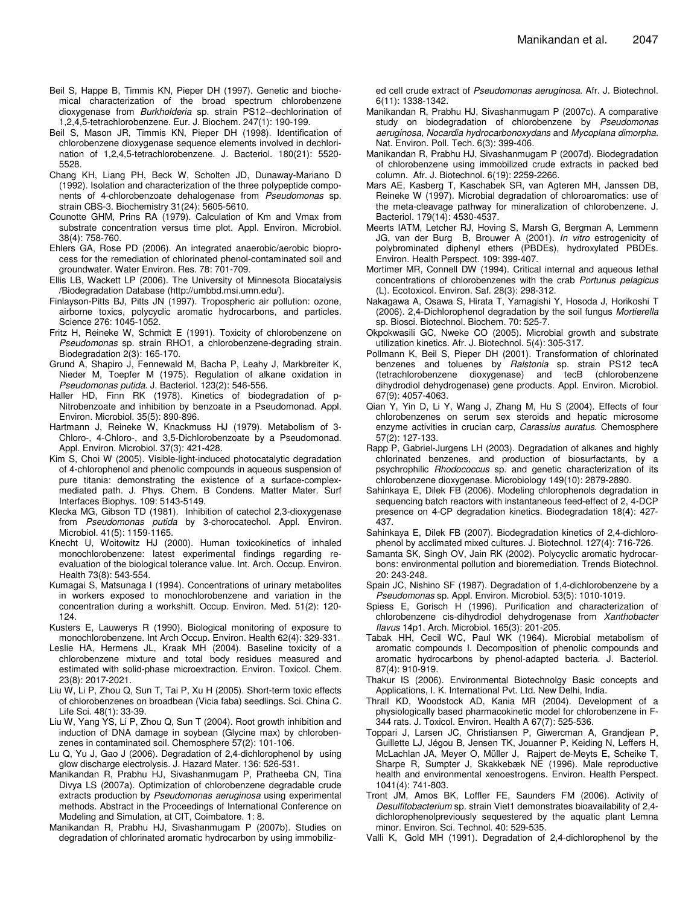- Beil S, Happe B, Timmis KN, Pieper DH (1997). Genetic and biochemical characterization of the broad spectrum chlorobenzene dioxygenase from *Burkholderia* sp. strain PS12--dechlorination of 1,2,4,5-tetrachlorobenzene. Eur. J. Biochem. 247(1): 190-199.
- Beil S, Mason JR, Timmis KN, Pieper DH (1998). Identification of chlorobenzene dioxygenase sequence elements involved in dechlorination of 1,2,4,5-tetrachlorobenzene. J. Bacteriol. 180(21): 5520- 5528.
- Chang KH, Liang PH, Beck W, Scholten JD, Dunaway-Mariano D (1992). Isolation and characterization of the three polypeptide components of 4-chlorobenzoate dehalogenase from *Pseudomonas* sp. strain CBS-3. Biochemistry 31(24): 5605-5610.
- Counotte GHM, Prins RA (1979). Calculation of Km and Vmax from substrate concentration versus time plot. Appl. Environ. Microbiol. 38(4): 758-760.
- Ehlers GA, Rose PD (2006). An integrated anaerobic/aerobic bioprocess for the remediation of chlorinated phenol-contaminated soil and groundwater. Water Environ. Res. 78: 701-709.
- Ellis LB, Wackett LP (2006). The University of Minnesota Biocatalysis /Biodegradation Database (http://umbbd.msi.umn.edu/).
- Finlayson-Pitts BJ, Pitts JN (1997). Tropospheric air pollution: ozone, airborne toxics, polycyclic aromatic hydrocarbons, and particles. Science 276: 1045-1052.
- Fritz H, Reineke W, Schmidt E (1991). Toxicity of chlorobenzene on *Pseudomonas* sp. strain RHO1, a chlorobenzene-degrading strain. Biodegradation 2(3): 165-170.
- Grund A, Shapiro J, Fennewald M, Bacha P, Leahy J, Markbreiter K, Nieder M, Toepfer M (1975). Regulation of alkane oxidation in *Pseudomonas putida*. J. Bacteriol. 123(2): 546-556.
- Haller HD, Finn RK (1978). Kinetics of biodegradation of p-Nitrobenzoate and inhibition by benzoate in a Pseudomonad. Appl. Environ. Microbiol. 35(5): 890-896.
- Hartmann J, Reineke W, Knackmuss HJ (1979). Metabolism of 3- Chloro-, 4-Chloro-, and 3,5-Dichlorobenzoate by a Pseudomonad. Appl. Environ. Microbiol. 37(3): 421-428.
- Kim S, Choi W (2005). Visible-light-induced photocatalytic degradation of 4-chlorophenol and phenolic compounds in aqueous suspension of pure titania: demonstrating the existence of a surface-complexmediated path. J. Phys. Chem. B Condens. Matter Mater. Surf Interfaces Biophys. 109: 5143-5149.
- Klecka MG, Gibson TD (1981). Inhibition of catechol 2,3-dioxygenase from *Pseudomonas putida* by 3-chorocatechol. Appl. Environ. Microbiol. 41(5): 1159-1165.
- Knecht U, Woitowitz HJ (2000). Human toxicokinetics of inhaled monochlorobenzene: latest experimental findings regarding reevaluation of the biological tolerance value. Int. Arch. Occup. Environ. Health 73(8): 543-554.
- Kumagai S, Matsunaga I (1994). Concentrations of urinary metabolites in workers exposed to monochlorobenzene and variation in the concentration during a workshift. Occup. Environ. Med. 51(2): 120- 124.
- Kusters E, Lauwerys R (1990). Biological monitoring of exposure to monochlorobenzene. Int Arch Occup. Environ. Health 62(4): 329-331.
- Leslie HA, Hermens JL, Kraak MH (2004). Baseline toxicity of a chlorobenzene mixture and total body residues measured and estimated with solid-phase microextraction. Environ. Toxicol. Chem. 23(8): 2017-2021.
- Liu W, Li P, Zhou Q, Sun T, Tai P, Xu H (2005). Short-term toxic effects of chlorobenzenes on broadbean (Vicia faba) seedlings. Sci. China C. Life Sci. 48(1): 33-39.
- Liu W, Yang YS, Li P, Zhou Q, Sun T (2004). Root growth inhibition and induction of DNA damage in soybean (Glycine max) by chlorobenzenes in contaminated soil. Chemosphere 57(2): 101-106.
- Lu Q, Yu J, Gao J (2006). Degradation of 2,4-dichlorophenol by using glow discharge electrolysis. J. Hazard Mater. 136: 526-531.
- Manikandan R, Prabhu HJ, Sivashanmugam P, Pratheeba CN, Tina Divya LS (2007a). Optimization of chlorobenzene degradable crude extracts production by *Pseudomonas aeruginosa* using experimental methods. Abstract in the Proceedings of International Conference on Modeling and Simulation, at CIT, Coimbatore. 1: 8.
- Manikandan R, Prabhu HJ, Sivashanmugam P (2007b). Studies on degradation of chlorinated aromatic hydrocarbon by using immobiliz-

ed cell crude extract of *Pseudomonas aeruginosa*. Afr. J. Biotechnol. 6(11): 1338-1342.

- Manikandan R, Prabhu HJ, Sivashanmugam P (2007c). A comparative study on biodegradation of chlorobenzene by *Pseudomonas aeruginosa*, *Nocardia hydrocarbonoxydans* and *Mycoplana dimorpha.* Nat. Environ. Poll. Tech. 6(3): 399-406.
- Manikandan R, Prabhu HJ, Sivashanmugam P (2007d). Biodegradation of chlorobenzene using immobilized crude extracts in packed bed column. Afr. J. Biotechnol. 6(19): 2259-2266.
- Mars AE, Kasberg T, Kaschabek SR, van Agteren MH, Janssen DB, Reineke W (1997). Microbial degradation of chloroaromatics: use of the meta-cleavage pathway for mineralization of chlorobenzene. J. Bacteriol. 179(14): 4530-4537.
- Meerts IATM, Letcher RJ, Hoving S, Marsh G, Bergman A, Lemmenn JG, van der Burg B, Brouwer A (2001). *In vitro* estrogenicity of polybrominated diphenyl ethers (PBDEs), hydroxylated PBDEs. Environ. Health Perspect. 109: 399-407.
- Mortimer MR, Connell DW (1994). Critical internal and aqueous lethal concentrations of chlorobenzenes with the crab *Portunus pelagicus* (L). Ecotoxicol. Environ. Saf. 28(3): 298-312.
- Nakagawa A, Osawa S, Hirata T, Yamagishi Y, Hosoda J, Horikoshi T (2006). 2,4-Dichlorophenol degradation by the soil fungus *Mortierella* sp. Biosci. Biotechnol. Biochem. 70: 525-7.
- Okpokwasili GC, Nweke CO (2005). Microbial growth and substrate utilization kinetics. Afr. J. Biotechnol. 5(4): 305-317.
- Pollmann K, Beil S, Pieper DH (2001). Transformation of chlorinated benzenes and toluenes by *Ralstonia* sp. strain PS12 tecA (tetrachlorobenzene dioxygenase) and tecB (chlorobenzene dihydrodiol dehydrogenase) gene products. Appl. Environ. Microbiol. 67(9): 4057-4063.
- Qian Y, Yin D, Li Y, Wang J, Zhang M, Hu S (2004). Effects of four chlorobenzenes on serum sex steroids and hepatic microsome enzyme activities in crucian carp, *Carassius auratus*. Chemosphere 57(2): 127-133.
- Rapp P, Gabriel-Jurgens LH (2003). Degradation of alkanes and highly chlorinated benzenes, and production of biosurfactants, by a psychrophilic *Rhodococcus* sp. and genetic characterization of its chlorobenzene dioxygenase. Microbiology 149(10): 2879-2890.
- Sahinkaya E, Dilek FB (2006). Modeling chlorophenols degradation in sequencing batch reactors with instantaneous feed-effect of 2, 4-DCP presence on 4-CP degradation kinetics. Biodegradation 18(4): 427- 437.
- Sahinkaya E, Dilek FB (2007). Biodegradation kinetics of 2,4-dichlorophenol by acclimated mixed cultures. J. Biotechnol. 127(4): 716-726.
- Samanta SK, Singh OV, Jain RK (2002). Polycyclic aromatic hydrocarbons: environmental pollution and bioremediation. Trends Biotechnol. 20: 243-248.
- Spain JC, Nishino SF (1987). Degradation of 1,4-dichlorobenzene by a *Pseudomonas* sp. Appl. Environ. Microbiol. 53(5): 1010-1019.
- Spiess E, Gorisch H (1996). Purification and characterization of chlorobenzene cis-dihydrodiol dehydrogenase from *Xanthobacter flavus* 14p1. Arch. Microbiol. 165(3): 201-205.
- Tabak HH, Cecil WC, Paul WK (1964). Microbial metabolism of aromatic compounds I. Decomposition of phenolic compounds and aromatic hydrocarbons by phenol-adapted bacteria. J. Bacteriol. 87(4): 910-919.
- Thakur IS (2006). Environmental Biotechnolgy Basic concepts and Applications, I. K. International Pvt. Ltd. New Delhi, India.
- Thrall KD, Woodstock AD, Kania MR (2004). Development of a physiologically based pharmacokinetic model for chlorobenzene in F-344 rats. J. Toxicol. Environ. Health A 67(7): 525-536.
- Toppari J, Larsen JC, Christiansen P, Giwercman A, Grandjean P, Guillette LJ, Jégou B, Jensen TK, Jouanner P, Keiding N, Leffers H, McLachlan JA, Meyer O, Müller J, Rajpert de-Meyts E, Scheike T, Sharpe R, Sumpter J, Skakkebæk NE (1996). Male reproductive health and environmental xenoestrogens. Environ. Health Perspect. 1041(4): 741-803.
- Tront JM, Amos BK, Loffler FE, Saunders FM (2006). Activity of *Desulfitobacterium* sp. strain Viet1 demonstrates bioavailability of 2,4 dichlorophenolpreviously sequestered by the aquatic plant Lemna minor. Environ. Sci. Technol. 40: 529-535.
- Valli K, Gold MH (1991). Degradation of 2,4-dichlorophenol by the